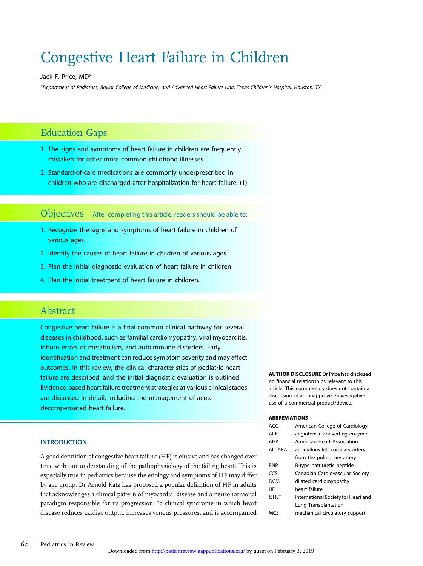# Congestive Heart Failure in Children

## Jack F. Price, MD\*

\*Department of Pediatrics, Baylor College of Medicine, and Advanced Heart Failure Unit, Texas Children's Hospital, Houston, TX

# Education Gaps

- 1. The signs and symptoms of heart failure in children are frequently mistaken for other more common childhood illnesses.
- 2. Standard-of-care medications are commonly underprescribed in children who are discharged after hospitalization for heart failure. (1)

## Objectives After completing this article, readers should be able to:

- 1. Recognize the signs and symptoms of heart failure in children of various ages.
- 2. Identify the causes of heart failure in children of various ages.
- 3. Plan the initial diagnostic evaluation of heart failure in children.
- 4. Plan the initial treatment of heart failure in children.

# Abstract

Congestive heart failure is a final common clinical pathway for several diseases in childhood, such as familial cardiomyopathy, viral myocarditis, inborn errors of metabolism, and autoimmune disorders. Early identification and treatment can reduce symptom severity and may affect outcomes. In this review, the clinical characteristics of pediatric heart failure are described, and the initial diagnostic evaluation is outlined. Evidence-based heart failure treatment strategies at various clinical stages are discussed in detail, including the management of acute decompensated heart failure.

## **INTRODUCTION**

A good definition of congestive heart failure (HF) is elusive and has changed over time with our understanding of the pathophysiology of the failing heart. This is especially true in pediatrics because the etiology and symptoms of HF may differ by age group. Dr Arnold Katz has proposed a popular definition of HF in adults that acknowledges a clinical pattern of myocardial disease and a neurohormonal paradigm responsible for its progression: "a clinical syndrome in which heart disease reduces cardiac output, increases venous pressures, and is accompanied

AUTHOR DISCLOSURE Dr Price has disclosed no financial relationships relevant to this article. This commentary does not contain a discussion of an unapproved/investigative use of a commercial product/device.

#### ABBREVIATIONS

| ACC          | American College of Cardiology      |
|--------------|-------------------------------------|
| ACF          | angiotensin-converting enzyme       |
| AHA          | American Heart Association          |
| AI CAPA      | anomalous left coronary artery      |
|              | from the pulmonary artery           |
| <b>RNP</b>   | B-type natriuretic peptide          |
| ccs          | Canadian Cardiovascular Society     |
| <b>DCM</b>   | dilated cardiomyopathy              |
| НF           | heart failure                       |
| <b>ISHLT</b> | International Society for Heart and |
|              | Lung Transplantation                |
| м٢ς          | mechanical circulatory support      |
|              |                                     |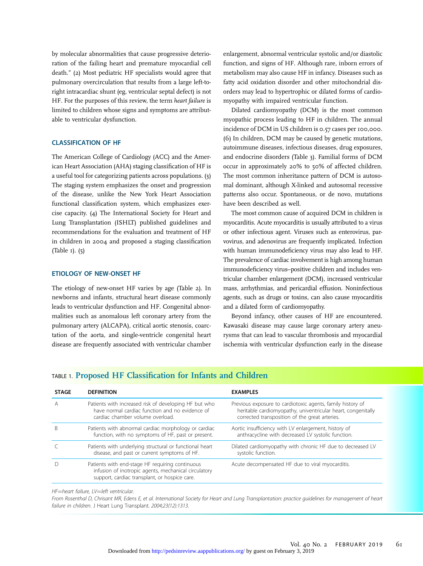by molecular abnormalities that cause progressive deterioration of the failing heart and premature myocardial cell death." (2) Most pediatric HF specialists would agree that pulmonary overcirculation that results from a large left-toright intracardiac shunt (eg, ventricular septal defect) is not HF. For the purposes of this review, the term heart failure is limited to children whose signs and symptoms are attributable to ventricular dysfunction.

## CLASSIFICATION OF HF

The American College of Cardiology (ACC) and the American Heart Association (AHA) staging classification of HF is a useful tool for categorizing patients across populations. (3) The staging system emphasizes the onset and progression of the disease, unlike the New York Heart Association functional classification system, which emphasizes exercise capacity. (4) The International Society for Heart and Lung Transplantation (ISHLT) published guidelines and recommendations for the evaluation and treatment of HF in children in 2004 and proposed a staging classification (Table 1). (5)

#### ETIOLOGY OF NEW-ONSET HF

The etiology of new-onset HF varies by age (Table 2). In newborns and infants, structural heart disease commonly leads to ventricular dysfunction and HF. Congenital abnormalities such as anomalous left coronary artery from the pulmonary artery (ALCAPA), critical aortic stenosis, coarctation of the aorta, and single-ventricle congenital heart disease are frequently associated with ventricular chamber

enlargement, abnormal ventricular systolic and/or diastolic function, and signs of HF. Although rare, inborn errors of metabolism may also cause HF in infancy. Diseases such as fatty acid oxidation disorder and other mitochondrial disorders may lead to hypertrophic or dilated forms of cardiomyopathy with impaired ventricular function.

Dilated cardiomyopathy (DCM) is the most common myopathic process leading to HF in children. The annual incidence of DCM in US children is 0.57 cases per 100,000. (6) In children, DCM may be caused by genetic mutations, autoimmune diseases, infectious diseases, drug exposures, and endocrine disorders (Table 3). Familial forms of DCM occur in approximately 20% to 50% of affected children. The most common inheritance pattern of DCM is autosomal dominant, although X-linked and autosomal recessive patterns also occur. Spontaneous, or de novo, mutations have been described as well.

The most common cause of acquired DCM in children is myocarditis. Acute myocarditis is usually attributed to a virus or other infectious agent. Viruses such as enterovirus, parvovirus, and adenovirus are frequently implicated. Infection with human immunodeficiency virus may also lead to HF. The prevalence of cardiac involvement is high among human immunodeficiency virus–positive children and includes ventricular chamber enlargement (DCM), increased ventricular mass, arrhythmias, and pericardial effusion. Noninfectious agents, such as drugs or toxins, can also cause myocarditis and a dilated form of cardiomyopathy.

Beyond infancy, other causes of HF are encountered. Kawasaki disease may cause large coronary artery aneurysms that can lead to vascular thrombosis and myocardial ischemia with ventricular dysfunction early in the disease

| <b>STAGE</b> | <b>DEFINITION</b>                                                                                                                                        | <b>EXAMPLES</b>                                                                                                                                                              |
|--------------|----------------------------------------------------------------------------------------------------------------------------------------------------------|------------------------------------------------------------------------------------------------------------------------------------------------------------------------------|
| Α            | Patients with increased risk of developing HF but who<br>have normal cardiac function and no evidence of<br>cardiac chamber volume overload.             | Previous exposure to cardiotoxic agents, family history of<br>heritable cardiomyopathy, univentricular heart, congenitally<br>corrected transposition of the great arteries. |
| R            | Patients with abnormal cardiac morphology or cardiac<br>function, with no symptoms of HF, past or present.                                               | Aortic insufficiency with LV enlargement, history of<br>anthracycline with decreased LV systolic function.                                                                   |
|              | Patients with underlying structural or functional heart<br>disease, and past or current symptoms of HF.                                                  | Dilated cardiomyopathy with chronic HF due to decreased LV<br>systolic function.                                                                                             |
|              | Patients with end-stage HF requiring continuous<br>infusion of inotropic agents, mechanical circulatory<br>support, cardiac transplant, or hospice care. | Acute decompensated HF due to viral myocarditis.                                                                                                                             |

## TABLE 1. Proposed HF Classification for Infants and Children

HF=heart failure, LV=left ventricular.<br>From Rosenthal D, Chrisant MR, Edens E, et al. International Society for Heart and Lung Transplantation: practice guidelines for management of heart failure in children. J Heart Lung Transplant. 2004;23(12):1313.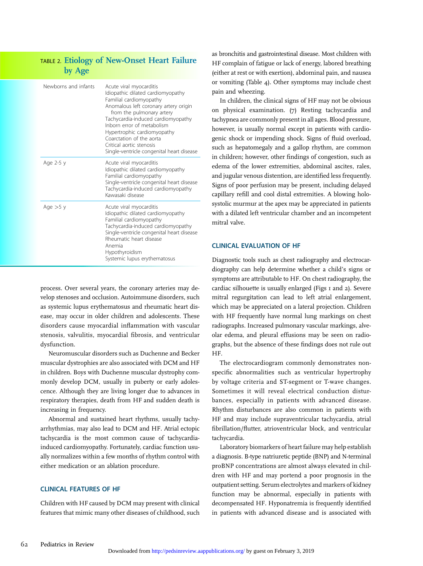## TABLE 2. Etiology of New-Onset Heart Failure by Age

| Newborns and infants | Acute viral myocarditis<br>Idiopathic dilated cardiomyopathy<br>Familial cardiomyopathy<br>Anomalous left coronary artery origin<br>from the pulmonary artery<br>Tachycardia-induced cardiomyopathy<br>Inborn error of metabolism<br>Hypertrophic cardiomyopathy<br>Coarctation of the aorta<br>Critical aortic stenosis<br>Single-ventricle congenital heart disease |
|----------------------|-----------------------------------------------------------------------------------------------------------------------------------------------------------------------------------------------------------------------------------------------------------------------------------------------------------------------------------------------------------------------|
| Age 2-5 y            | Acute viral myocarditis<br>Idiopathic dilated cardiomyopathy<br>Familial cardiomyopathy<br>Single-ventricle congenital heart disease<br>Tachycardia-induced cardiomyopathy<br>Kawasaki disease                                                                                                                                                                        |
| Age $>5y$            | Acute viral myocarditis<br>Idiopathic dilated cardiomyopathy<br>Familial cardiomyopathy<br>Tachycardia-induced cardiomyopathy<br>Single-ventricle congenital heart disease<br>Rheumatic heart disease<br>Anemia<br>Hypothyroidism<br>Systemic lupus erythematosus                                                                                                     |

process. Over several years, the coronary arteries may develop stenoses and occlusion. Autoimmune disorders, such as systemic lupus erythematosus and rheumatic heart disease, may occur in older children and adolescents. These disorders cause myocardial inflammation with vascular stenosis, valvulitis, myocardial fibrosis, and ventricular dysfunction.

Neuromuscular disorders such as Duchenne and Becker muscular dystrophies are also associated with DCM and HF in children. Boys with Duchenne muscular dystrophy commonly develop DCM, usually in puberty or early adolescence. Although they are living longer due to advances in respiratory therapies, death from HF and sudden death is increasing in frequency.

Abnormal and sustained heart rhythms, usually tachyarrhythmias, may also lead to DCM and HF. Atrial ectopic tachycardia is the most common cause of tachycardiainduced cardiomyopathy. Fortunately, cardiac function usually normalizes within a few months of rhythm control with either medication or an ablation procedure.

## CLINICAL FEATURES OF HF

Children with HF caused by DCM may present with clinical features that mimic many other diseases of childhood, such as bronchitis and gastrointestinal disease. Most children with HF complain of fatigue or lack of energy, labored breathing (either at rest or with exertion), abdominal pain, and nausea or vomiting (Table 4). Other symptoms may include chest pain and wheezing.

In children, the clinical signs of HF may not be obvious on physical examination. (7) Resting tachycardia and tachypnea are commonly present in all ages. Blood pressure, however, is usually normal except in patients with cardiogenic shock or impending shock. Signs of fluid overload, such as hepatomegaly and a gallop rhythm, are common in children; however, other findings of congestion, such as edema of the lower extremities, abdominal ascites, rales, and jugular venous distention, are identified less frequently. Signs of poor perfusion may be present, including delayed capillary refill and cool distal extremities. A blowing holosystolic murmur at the apex may be appreciated in patients with a dilated left ventricular chamber and an incompetent mitral valve.

#### CLINICAL EVALUATION OF HF

Diagnostic tools such as chest radiography and electrocardiography can help determine whether a child's signs or symptoms are attributable to HF. On chest radiography, the cardiac silhouette is usually enlarged (Figs 1 and 2). Severe mitral regurgitation can lead to left atrial enlargement, which may be appreciated on a lateral projection. Children with HF frequently have normal lung markings on chest radiographs. Increased pulmonary vascular markings, alveolar edema, and pleural effusions may be seen on radiographs, but the absence of these findings does not rule out HF.

The electrocardiogram commonly demonstrates nonspecific abnormalities such as ventricular hypertrophy by voltage criteria and ST-segment or T-wave changes. Sometimes it will reveal electrical conduction disturbances, especially in patients with advanced disease. Rhythm disturbances are also common in patients with HF and may include supraventricular tachycardia, atrial fibrillation/flutter, atrioventricular block, and ventricular tachycardia.

Laboratory biomarkers of heart failure may help establish a diagnosis. B-type natriuretic peptide (BNP) and N-terminal proBNP concentrations are almost always elevated in children with HF and may portend a poor prognosis in the outpatient setting. Serum electrolytes and markers of kidney function may be abnormal, especially in patients with decompensated HF. Hyponatremia is frequently identified in patients with advanced disease and is associated with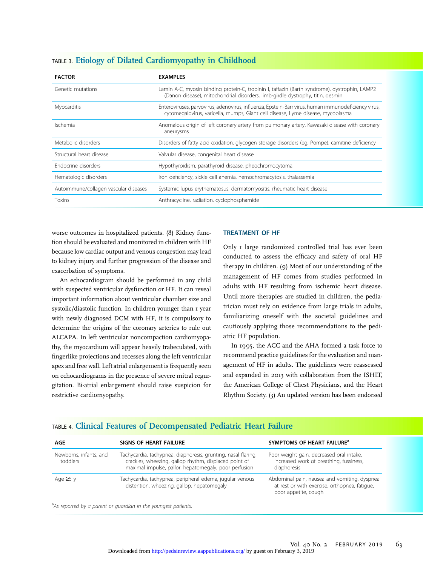| <b>FACTOR</b>                         | <b>EXAMPLES</b>                                                                                                                                                                        |
|---------------------------------------|----------------------------------------------------------------------------------------------------------------------------------------------------------------------------------------|
| Genetic mutations                     | Lamin A-C, myosin binding protein-C, tropinin I, taffazin (Barth syndrome), dystrophin, LAMP2<br>(Danon disease), mitochondrial disorders, limb-girdle dystrophy, titin, desmin        |
| Myocarditis                           | Enteroviruses, parvovirus, adenovirus, influenza, Epstein-Barr virus, human immunodeficiency virus,<br>cytomegalovirus, varicella, mumps, Giant cell disease, Lyme disease, mycoplasma |
| Ischemia                              | Anomalous origin of left coronary artery from pulmonary artery, Kawasaki disease with coronary<br>aneurysms                                                                            |
| Metabolic disorders                   | Disorders of fatty acid oxidation, glycogen storage disorders (eg, Pompe), carnitine deficiency                                                                                        |
| Structural heart disease              | Valvular disease, congenital heart disease                                                                                                                                             |
| Endocrine disorders                   | Hypothyroidism, parathyroid disease, pheochromocytoma                                                                                                                                  |
| Hematologic disorders                 | Iron deficiency, sickle cell anemia, hemochromacytosis, thalassemia                                                                                                                    |
| Autoimmune/collagen vascular diseases | Systemic lupus erythematosus, dermatomyositis, rheumatic heart disease                                                                                                                 |
| <b>Toxins</b>                         | Anthracycline, radiation, cyclophosphamide                                                                                                                                             |

## TABLE 3. Etiology of Dilated Cardiomyopathy in Childhood

worse outcomes in hospitalized patients. (8) Kidney function should be evaluated and monitored in children with HF because low cardiac output and venous congestion may lead to kidney injury and further progression of the disease and exacerbation of symptoms.

An echocardiogram should be performed in any child with suspected ventricular dysfunction or HF. It can reveal important information about ventricular chamber size and systolic/diastolic function. In children younger than 1 year with newly diagnosed DCM with HF, it is compulsory to determine the origins of the coronary arteries to rule out ALCAPA. In left ventricular noncompaction cardiomyopathy, the myocardium will appear heavily trabeculated, with fingerlike projections and recesses along the left ventricular apex and free wall. Left atrial enlargement is frequently seen on echocardiograms in the presence of severe mitral regurgitation. Bi-atrial enlargement should raise suspicion for restrictive cardiomyopathy.

## TREATMENT OF HF

Only 1 large randomized controlled trial has ever been conducted to assess the efficacy and safety of oral HF therapy in children. (9) Most of our understanding of the management of HF comes from studies performed in adults with HF resulting from ischemic heart disease. Until more therapies are studied in children, the pediatrician must rely on evidence from large trials in adults, familiarizing oneself with the societal guidelines and cautiously applying those recommendations to the pediatric HF population.

In 1995, the ACC and the AHA formed a task force to recommend practice guidelines for the evaluation and management of HF in adults. The guidelines were reassessed and expanded in 2013 with collaboration from the ISHLT, the American College of Chest Physicians, and the Heart Rhythm Society. (3) An updated version has been endorsed

| AGE                                | SIGNS OF HEART FAILURE                                                                                                                                                          | SYMPTOMS OF HEART FAILURE <sup>a</sup>                                                                                |
|------------------------------------|---------------------------------------------------------------------------------------------------------------------------------------------------------------------------------|-----------------------------------------------------------------------------------------------------------------------|
| Newborns, infants, and<br>toddlers | Tachycardia, tachypnea, diaphoresis, grunting, nasal flaring,<br>crackles, wheezing, gallop rhythm, displaced point of<br>maximal impulse, pallor, hepatomegaly, poor perfusion | Poor weight gain, decreased oral intake,<br>increased work of breathing, fussiness,<br>diaphoresis                    |
| Age $\geq$ 5 y                     | Tachycardia, tachypnea, peripheral edema, jugular venous<br>distention, wheezing, gallop, hepatomegaly                                                                          | Abdominal pain, nausea and vomiting, dyspnea<br>at rest or with exercise, orthopnea, fatique,<br>poor appetite, cough |

## TABLE 4. Clinical Features of Decompensated Pediatric Heart Failure

<sup>a</sup>As reported by a parent or guardian in the youngest patients.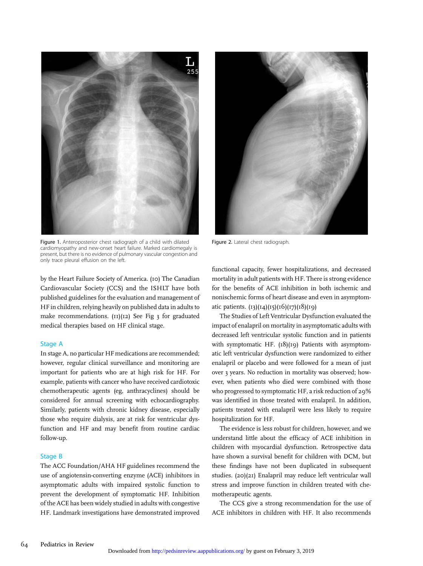

Figure 1. Anteroposterior chest radiograph of a child with dilated cardiomyopathy and new-onset heart failure. Marked cardiomegaly is present, but there is no evidence of pulmonary vascular congestion and only trace pleural effusion on the left.

by the Heart Failure Society of America. (10) The Canadian Cardiovascular Society (CCS) and the ISHLT have both published guidelines for the evaluation and management of HF in children, relying heavily on published data in adults to make recommendations.  $(11)(12)$  See Fig 3 for graduated medical therapies based on HF clinical stage.

#### Stage A

In stage A, no particular HF medications are recommended; however, regular clinical surveillance and monitoring are important for patients who are at high risk for HF. For example, patients with cancer who have received cardiotoxic chemotherapeutic agents (eg, anthracyclines) should be considered for annual screening with echocardiography. Similarly, patients with chronic kidney disease, especially those who require dialysis, are at risk for ventricular dysfunction and HF and may benefit from routine cardiac follow-up.

## Stage B

The ACC Foundation/AHA HF guidelines recommend the use of angiotensin-converting enzyme (ACE) inhibitors in asymptomatic adults with impaired systolic function to prevent the development of symptomatic HF. Inhibition of the ACE has been widely studied in adults with congestive HF. Landmark investigations have demonstrated improved



Figure 2. Lateral chest radiograph.

functional capacity, fewer hospitalizations, and decreased mortality in adult patients with HF. There is strong evidence for the benefits of ACE inhibition in both ischemic and nonischemic forms of heart disease and even in asymptomatic patients.  $(13)(14)(15)(16)(17)(18)(19)$ 

The Studies of Left Ventricular Dysfunction evaluated the impact of enalapril on mortality in asymptomatic adults with decreased left ventricular systolic function and in patients with symptomatic HF. (18)(19) Patients with asymptomatic left ventricular dysfunction were randomized to either enalapril or placebo and were followed for a mean of just over 3 years. No reduction in mortality was observed; however, when patients who died were combined with those who progressed to symptomatic HF, a risk reduction of 29% was identified in those treated with enalapril. In addition, patients treated with enalapril were less likely to require hospitalization for HF.

The evidence is less robust for children, however, and we understand little about the efficacy of ACE inhibition in children with myocardial dysfunction. Retrospective data have shown a survival benefit for children with DCM, but these findings have not been duplicated in subsequent studies. (20)(21) Enalapril may reduce left ventricular wall stress and improve function in children treated with chemotherapeutic agents.

The CCS give a strong recommendation for the use of ACE inhibitors in children with HF. It also recommends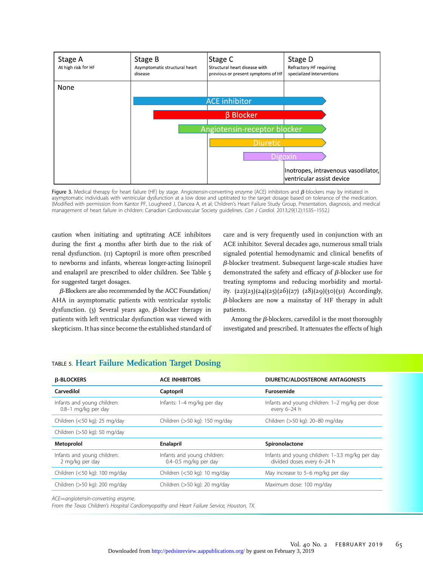

Figure 3. Medical therapy for heart failure (HF) by stage. Angiotensin-converting enzyme (ACE) inhibitors and  $\beta$ -blockers may by initiated in asymptomatic individuals with ventricular dysfunction at a low dose and uptitrated to the target dosage based on tolerance of the medication. (Modified with permission from Kantor PF, Lougheed J, Dancea A, et al; Children's Heart Failure Study Group. Presentation, diagnosis, and medical management of heart failure in children: Canadian Cardiovascular Society guidelines. Can J Cardiol. 2013;29(12):1535–1552.)

caution when initiating and uptitrating ACE inhibitors during the first 4 months after birth due to the risk of renal dysfunction. (11) Captopril is more often prescribed to newborns and infants, whereas longer-acting lisinopril and enalapril are prescribed to older children. See Table 5 for suggested target dosages.

 $\beta$ -Blockers are also recommended by the ACC Foundation/ AHA in asymptomatic patients with ventricular systolic dysfunction. (3) Several years ago,  $\beta$ -blocker therapy in patients with left ventricular dysfunction was viewed with skepticism. It has since become the established standard of care and is very frequently used in conjunction with an ACE inhibitor. Several decades ago, numerous small trials signaled potential hemodynamic and clinical benefits of  $\beta$ -blocker treatment. Subsequent large-scale studies have demonstrated the safety and efficacy of  $\beta$ -blocker use for treating symptoms and reducing morbidity and mortality. (22)(23)(24)(25)(26)(27) (28)(29)(30)(31) Accordingly,  $\beta$ -blockers are now a mainstay of HF therapy in adult patients.

Among the  $\beta$ -blockers, carvedilol is the most thoroughly investigated and prescribed. It attenuates the effects of high

| <b>B-BLOCKERS</b>                                  | <b>ACE INHIBITORS</b>                                    | DIURETIC/ALDOSTERONE ANTAGONISTS                                              |
|----------------------------------------------------|----------------------------------------------------------|-------------------------------------------------------------------------------|
| Carvedilol                                         | Captopril                                                | <b>Furosemide</b>                                                             |
| Infants and young children:<br>0.8-1 mg/kg per day | Infants: 1-4 mg/kg per day                               | Infants and young children: 1-2 mg/kg per dose<br>every 6-24 h                |
| Children $(<$ 50 kg): 25 mg/day                    | Children (>50 kg): 150 mg/day                            | Children (>50 kg): 20-80 mg/day                                               |
| Children $(>50 \text{ kg})$ : 50 mg/day            |                                                          |                                                                               |
| Metoprolol                                         | Enalapril                                                | Spironolactone                                                                |
| Infants and young children:<br>2 mg/kg per day     | Infants and young children:<br>$0.4 - 0.5$ mg/kg per day | Infants and young children: 1-3.3 mg/kg per day<br>divided doses every 6-24 h |
| Children $(<$ 50 kg): 100 mg/day                   | Children $(<$ 50 kg): 10 mg/day                          | May increase to 5-6 mg/kg per day                                             |
| Children (>50 kg): 200 mg/day                      | Children $(>50 \text{ kg})$ : 20 mg/day                  | Maximum dose: 100 mg/day                                                      |
|                                                    |                                                          |                                                                               |

## TABLE 5. Heart Failure Medication Target Dosing

ACE=angiotensin-converting enzyme.

From the Texas Children's Hospital Cardiomyopathy and Heart Failure Service, Houston, TX.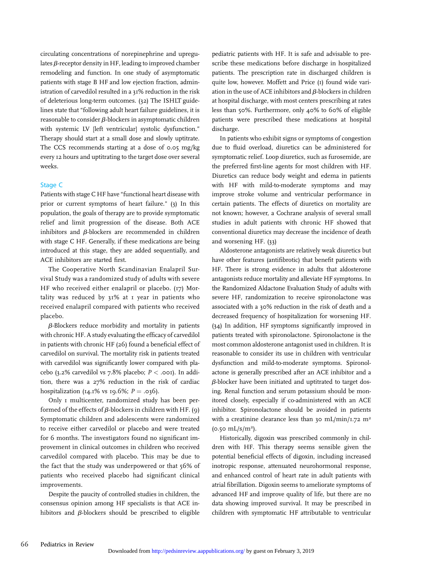circulating concentrations of norepinephrine and upregulates  $\beta$ -receptor density in HF, leading to improved chamber remodeling and function. In one study of asymptomatic patients with stage B HF and low ejection fraction, administration of carvedilol resulted in a 31% reduction in the risk of deleterious long-term outcomes. (32) The ISHLT guidelines state that "following adult heart failure guidelines, it is reasonable to consider  $\beta$ -blockers in asymptomatic children with systemic LV [left ventricular] systolic dysfunction." Therapy should start at a small dose and slowly uptitrate. The CCS recommends starting at a dose of 0.05 mg/kg every 12 hours and uptitrating to the target dose over several weeks.

## Stage C

Patients with stage C HF have "functional heart disease with prior or current symptoms of heart failure." (3) In this population, the goals of therapy are to provide symptomatic relief and limit progression of the disease. Both ACE inhibitors and  $\beta$ -blockers are recommended in children with stage C HF. Generally, if these medications are being introduced at this stage, they are added sequentially, and ACE inhibitors are started first.

The Cooperative North Scandinavian Enalapril Survival Study was a randomized study of adults with severe HF who received either enalapril or placebo. (17) Mortality was reduced by 31% at 1 year in patients who received enalapril compared with patients who received placebo.

 $\beta$ -Blockers reduce morbidity and mortality in patients with chronic HF. A study evaluating the efficacy of carvedilol in patients with chronic HF (26) found a beneficial effect of carvedilol on survival. The mortality risk in patients treated with carvedilol was significantly lower compared with placebo (3.2% carvedilol vs 7.8% placebo;  $P < .001$ ). In addition, there was a 27% reduction in the risk of cardiac hospitalization (14.1% vs 19.6%;  $P = .036$ ).

Only 1 multicenter, randomized study has been performed of the effects of  $\beta$ -blockers in children with HF. (9) Symptomatic children and adolescents were randomized to receive either carvedilol or placebo and were treated for 6 months. The investigators found no significant improvement in clinical outcomes in children who received carvedilol compared with placebo. This may be due to the fact that the study was underpowered or that 56% of patients who received placebo had significant clinical improvements.

Despite the paucity of controlled studies in children, the consensus opinion among HF specialists is that ACE inhibitors and  $\beta$ -blockers should be prescribed to eligible pediatric patients with HF. It is safe and advisable to prescribe these medications before discharge in hospitalized patients. The prescription rate in discharged children is quite low, however. Moffett and Price (1) found wide variation in the use of ACE inhibitors and  $\beta$ -blockers in children at hospital discharge, with most centers prescribing at rates less than 50%. Furthermore, only 40% to 60% of eligible patients were prescribed these medications at hospital discharge.

In patients who exhibit signs or symptoms of congestion due to fluid overload, diuretics can be administered for symptomatic relief. Loop diuretics, such as furosemide, are the preferred first-line agents for most children with HF. Diuretics can reduce body weight and edema in patients with HF with mild-to-moderate symptoms and may improve stroke volume and ventricular performance in certain patients. The effects of diuretics on mortality are not known; however, a Cochrane analysis of several small studies in adult patients with chronic HF showed that conventional diuretics may decrease the incidence of death and worsening HF. (33)

Aldosterone antagonists are relatively weak diuretics but have other features (antifibrotic) that benefit patients with HF. There is strong evidence in adults that aldosterone antagonists reduce mortality and alleviate HF symptoms. In the Randomized Aldactone Evaluation Study of adults with severe HF, randomization to receive spironolactone was associated with a 30% reduction in the risk of death and a decreased frequency of hospitalization for worsening HF. (34) In addition, HF symptoms significantly improved in patients treated with spironolactone. Spironolactone is the most common aldosterone antagonist used in children. It is reasonable to consider its use in children with ventricular dysfunction and mild-to-moderate symptoms. Spironolactone is generally prescribed after an ACE inhibitor and a  $\beta$ -blocker have been initiated and uptitrated to target dosing. Renal function and serum potassium should be monitored closely, especially if co-administered with an ACE inhibitor. Spironolactone should be avoided in patients with a creatinine clearance less than 30 mL/min/1.72  $m<sup>2</sup>$  $(0.50 \text{ mL/s/m}^2)$ .

Historically, digoxin was prescribed commonly in children with HF. This therapy seems sensible given the potential beneficial effects of digoxin, including increased inotropic response, attenuated neurohormonal response, and enhanced control of heart rate in adult patients with atrial fibrillation. Digoxin seems to ameliorate symptoms of advanced HF and improve quality of life, but there are no data showing improved survival. It may be prescribed in children with symptomatic HF attributable to ventricular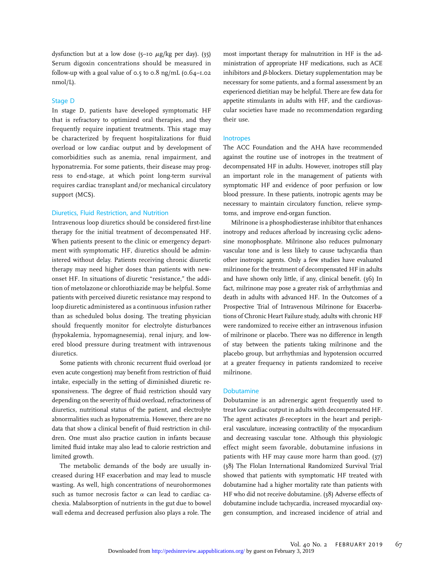dysfunction but at a low dose  $(5-10 \mu g/kg$  per day).  $(35)$ Serum digoxin concentrations should be measured in follow-up with a goal value of  $0.5$  to  $0.8$  ng/mL ( $0.64$ –1.02 nmol/L).

## Stage D

In stage D, patients have developed symptomatic HF that is refractory to optimized oral therapies, and they frequently require inpatient treatments. This stage may be characterized by frequent hospitalizations for fluid overload or low cardiac output and by development of comorbidities such as anemia, renal impairment, and hyponatremia. For some patients, their disease may progress to end-stage, at which point long-term survival requires cardiac transplant and/or mechanical circulatory support (MCS).

#### Diuretics, Fluid Restriction, and Nutrition

Intravenous loop diuretics should be considered first-line therapy for the initial treatment of decompensated HF. When patients present to the clinic or emergency department with symptomatic HF, diuretics should be administered without delay. Patients receiving chronic diuretic therapy may need higher doses than patients with newonset HF. In situations of diuretic "resistance," the addition of metolazone or chlorothiazide may be helpful. Some patients with perceived diuretic resistance may respond to loop diuretic administered as a continuous infusion rather than as scheduled bolus dosing. The treating physician should frequently monitor for electrolyte disturbances (hypokalemia, hypomagnesemia), renal injury, and lowered blood pressure during treatment with intravenous diuretics.

Some patients with chronic recurrent fluid overload (or even acute congestion) may benefit from restriction of fluid intake, especially in the setting of diminished diuretic responsiveness. The degree of fluid restriction should vary depending on the severity of fluid overload, refractoriness of diuretics, nutritional status of the patient, and electrolyte abnormalities such as hyponatremia. However, there are no data that show a clinical benefit of fluid restriction in children. One must also practice caution in infants because limited fluid intake may also lead to calorie restriction and limited growth.

The metabolic demands of the body are usually increased during HF exacerbation and may lead to muscle wasting. As well, high concentrations of neurohormones such as tumor necrosis factor  $\alpha$  can lead to cardiac cachexia. Malabsorption of nutrients in the gut due to bowel wall edema and decreased perfusion also plays a role. The most important therapy for malnutrition in HF is the administration of appropriate HF medications, such as ACE inhibitors and  $\beta$ -blockers. Dietary supplementation may be necessary for some patients, and a formal assessment by an experienced dietitian may be helpful. There are few data for appetite stimulants in adults with HF, and the cardiovascular societies have made no recommendation regarding their use.

## Inotropes

The ACC Foundation and the AHA have recommended against the routine use of inotropes in the treatment of decompensated HF in adults. However, inotropes still play an important role in the management of patients with symptomatic HF and evidence of poor perfusion or low blood pressure. In these patients, inotropic agents may be necessary to maintain circulatory function, relieve symptoms, and improve end-organ function.

Milrinone is a phosphodiesterase inhibitor that enhances inotropy and reduces afterload by increasing cyclic adenosine monophosphate. Milrinone also reduces pulmonary vascular tone and is less likely to cause tachycardia than other inotropic agents. Only a few studies have evaluated milrinone for the treatment of decompensated HF in adults and have shown only little, if any, clinical benefit. (36) In fact, milrinone may pose a greater risk of arrhythmias and death in adults with advanced HF. In the Outcomes of a Prospective Trial of Intravenous Milrinone for Exacerbations of Chronic Heart Failure study, adults with chronic HF were randomized to receive either an intravenous infusion of milrinone or placebo. There was no difference in length of stay between the patients taking milrinone and the placebo group, but arrhythmias and hypotension occurred at a greater frequency in patients randomized to receive milrinone.

#### Dobutamine

Dobutamine is an adrenergic agent frequently used to treat low cardiac output in adults with decompensated HF. The agent activates  $\beta$ -receptors in the heart and peripheral vasculature, increasing contractility of the myocardium and decreasing vascular tone. Although this physiologic effect might seem favorable, dobutamine infusions in patients with HF may cause more harm than good. (37) (38) The Flolan International Randomized Survival Trial showed that patients with symptomatic HF treated with dobutamine had a higher mortality rate than patients with HF who did not receive dobutamine. (38) Adverse effects of dobutamine include tachycardia, increased myocardial oxygen consumption, and increased incidence of atrial and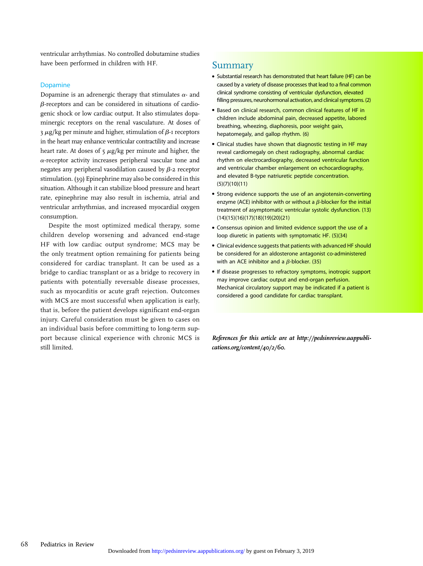ventricular arrhythmias. No controlled dobutamine studies have been performed in children with HF.

#### Dopamine

Dopamine is an adrenergic therapy that stimulates  $\alpha$ - and  $\beta$ -receptors and can be considered in situations of cardiogenic shock or low cardiac output. It also stimulates dopaminergic receptors on the renal vasculature. At doses of  $3 \mu$ g/kg per minute and higher, stimulation of  $\beta$ -1 receptors in the heart may enhance ventricular contractility and increase heart rate. At doses of  $\frac{1}{2}$  mg/kg per minute and higher, the  $\alpha$ -receptor activity increases peripheral vascular tone and negates any peripheral vasodilation caused by  $\beta$ -2 receptor stimulation. (39) Epinephrine may also be considered in this situation. Although it can stabilize blood pressure and heart rate, epinephrine may also result in ischemia, atrial and ventricular arrhythmias, and increased myocardial oxygen consumption.

Despite the most optimized medical therapy, some children develop worsening and advanced end-stage HF with low cardiac output syndrome; MCS may be the only treatment option remaining for patients being considered for cardiac transplant. It can be used as a bridge to cardiac transplant or as a bridge to recovery in patients with potentially reversable disease processes, such as myocarditis or acute graft rejection. Outcomes with MCS are most successful when application is early, that is, before the patient develops significant end-organ injury. Careful consideration must be given to cases on an individual basis before committing to long-term support because clinical experience with chronic MCS is still limited.

# Summary

- Substantial research has demonstrated that heart failure (HF) can be caused by a variety of disease processes that lead to a final common clinical syndrome consisting of ventricular dysfunction, elevated filling pressures, neurohormonal activation, and clinical symptoms. (2)
- Based on clinical research, common clinical features of HF in children include abdominal pain, decreased appetite, labored breathing, wheezing, diaphoresis, poor weight gain, hepatomegaly, and gallop rhythm. (6)
- Clinical studies have shown that diagnostic testing in HF may reveal cardiomegaly on chest radiography, abnormal cardiac rhythm on electrocardiography, decreased ventricular function and ventricular chamber enlargement on echocardiography, and elevated B-type natriuretic peptide concentration. (5)(7)(10)(11)
- Strong evidence supports the use of an angiotensin-converting enzyme (ACE) inhibitor with or without a  $\beta$ -blocker for the initial treatment of asymptomatic ventricular systolic dysfunction. (13) (14)(15)(16)(17)(18)(19)(20)(21)
- Consensus opinion and limited evidence support the use of a loop diuretic in patients with symptomatic HF. (5)(34)
- Clinical evidence suggests that patients with advanced HF should be considered for an aldosterone antagonist co-administered with an ACE inhibitor and a  $\beta$ -blocker. (35)
- If disease progresses to refractory symptoms, inotropic support may improve cardiac output and end-organ perfusion. Mechanical circulatory support may be indicated if a patient is considered a good candidate for cardiac transplant.

References for this article are at [http://pedsinreview.aappubli](http://pedsinreview.aappublications.org/content/40/2/60)[cations.org/content/40/2/60.](http://pedsinreview.aappublications.org/content/40/2/60)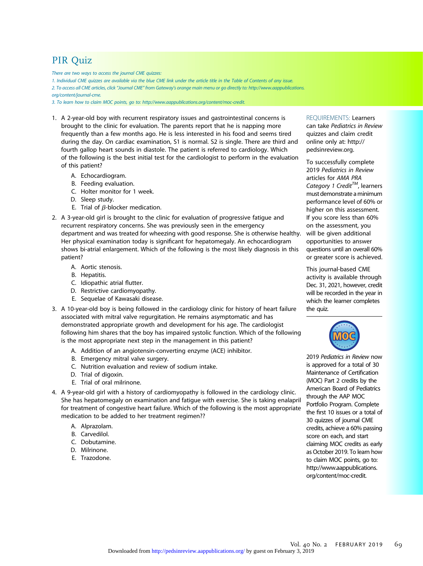# PIR Quiz

There are two ways to access the journal CME quizzes:

1. Individual CME quizzes are available via the blue CME link under the article title in the Table of Contents of any issue.

2. To access all CME articles, click "Journal CME" from Gateway's orange main menu or go directly to: [http://www.aappublications.](http://www.aappublications.org/content/journal-cme)

[org/content/journal-cme.](http://www.aappublications.org/content/journal-cme)

3. To learn how to claim MOC points, go to: [http://www.aappublications.org/content/moc-credit.](http://www.aappublications.org/content/moc-credit)

- 1. A 2-year-old boy with recurrent respiratory issues and gastrointestinal concerns is brought to the clinic for evaluation. The parents report that he is napping more frequently than a few months ago. He is less interested in his food and seems tired during the day. On cardiac examination, S1 is normal. S2 is single. There are third and fourth gallop heart sounds in diastole. The patient is referred to cardiology. Which of the following is the best initial test for the cardiologist to perform in the evaluation of this patient?
	- A. Echocardiogram.
	- B. Feeding evaluation.
	- C. Holter monitor for 1 week.
	- D. Sleep study.
	- E. Trial of  $\beta$ -blocker medication.
- 2. A 3-year-old girl is brought to the clinic for evaluation of progressive fatigue and recurrent respiratory concerns. She was previously seen in the emergency department and was treated for wheezing with good response. She is otherwise healthy. Her physical examination today is significant for hepatomegaly. An echocardiogram shows bi-atrial enlargement. Which of the following is the most likely diagnosis in this patient?
	- A. Aortic stenosis.
	- B. Hepatitis.
	- C. Idiopathic atrial flutter.
	- D. Restrictive cardiomyopathy.
	- E. Sequelae of Kawasaki disease.
- 3. A 10-year-old boy is being followed in the cardiology clinic for history of heart failure associated with mitral valve regurgitation. He remains asymptomatic and has demonstrated appropriate growth and development for his age. The cardiologist following him shares that the boy has impaired systolic function. Which of the following is the most appropriate next step in the management in this patient?
	- A. Addition of an angiotensin-converting enzyme (ACE) inhibitor.
	- B. Emergency mitral valve surgery.
	- C. Nutrition evaluation and review of sodium intake.
	- D. Trial of digoxin.
	- E. Trial of oral milrinone.
- 4. A 9-year-old girl with a history of cardiomyopathy is followed in the cardiology clinic. She has hepatomegaly on examination and fatigue with exercise. She is taking enalapril for treatment of congestive heart failure. Which of the following is the most appropriate medication to be added to her treatment regimen??
	- A. Alprazolam.
	- B. Carvedilol.
	- C. Dobutamine.
	- D. Milrinone.
	- E. Trazodone.

REQUIREMENTS: Learners

can take Pediatrics in Review quizzes and claim credit online only at: [http://](http://pedsinreview.org) [pedsinreview.org](http://pedsinreview.org).

To successfully complete 2019 Pediatrics in Review articles for AMA PRA Category 1 Credit<sup>TM</sup>, learners must demonstrate aminimum performance level of 60% or higher on this assessment. If you score less than 60% on the assessment, you will be given additional opportunities to answer questions until an overall 60% or greater score is achieved.

This journal-based CME activity is available through Dec. 31, 2021, however, credit will be recorded in the year in which the learner completes the quiz.



2019 Pediatrics in Review now is approved for a total of 30 Maintenance of Certification (MOC) Part 2 credits by the American Board of Pediatrics through the AAP MOC Portfolio Program. Complete the first 10 issues or a total of 30 quizzes of journal CME credits, achieve a 60% passing score on each, and start claiming MOC credits as early as October 2019. To learn how to claim MOC points, go to: [http://www.aappublications.](http://www.aappublications.org/content/moc-credit) [org/content/moc-credit](http://www.aappublications.org/content/moc-credit).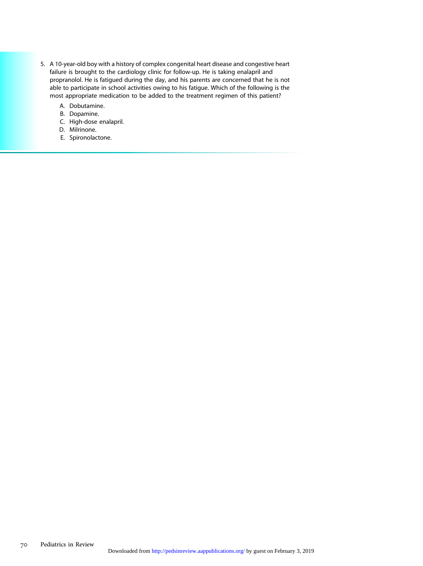- 5. A 10-year-old boy with a history of complex congenital heart disease and congestive heart failure is brought to the cardiology clinic for follow-up. He is taking enalapril and propranolol. He is fatigued during the day, and his parents are concerned that he is not able to participate in school activities owing to his fatigue. Which of the following is the most appropriate medication to be added to the treatment regimen of this patient?
	- A. Dobutamine.
	- B. Dopamine.
	- C. High-dose enalapril.
	- D. Milrinone.
	- E. Spironolactone.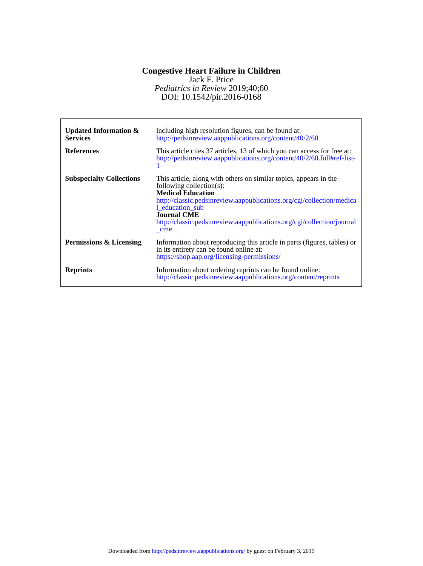## DOI: 10.1542/pir.2016-0168 *Pediatrics in Review* 2019;40;60 Jack F. Price **Congestive Heart Failure in Children**

| <b>Updated Information &amp;</b><br><b>Services</b> | including high resolution figures, can be found at:<br>http://pedsinreview.aappublications.org/content/40/2/60                                                                                                                                                                                                               |
|-----------------------------------------------------|------------------------------------------------------------------------------------------------------------------------------------------------------------------------------------------------------------------------------------------------------------------------------------------------------------------------------|
| <b>References</b>                                   | This article cites 37 articles, 13 of which you can access for free at:<br>http://pedsinreview.aappublications.org/content/40/2/60.full#ref-list-                                                                                                                                                                            |
| <b>Subspecialty Collections</b>                     | This article, along with others on similar topics, appears in the<br>following collection(s):<br><b>Medical Education</b><br>http://classic.pedsinreview.aappublications.org/cgi/collection/medica<br>1_education_sub<br><b>Journal CME</b><br>http://classic.pedsinreview.aappublications.org/cgi/collection/journal<br>cme |
| Permissions & Licensing                             | Information about reproducing this article in parts (figures, tables) or<br>in its entirety can be found online at:<br>https://shop.aap.org/licensing-permissions/                                                                                                                                                           |
| <b>Reprints</b>                                     | Information about ordering reprints can be found online:<br>http://classic.pedsinreview.aappublications.org/content/reprints                                                                                                                                                                                                 |